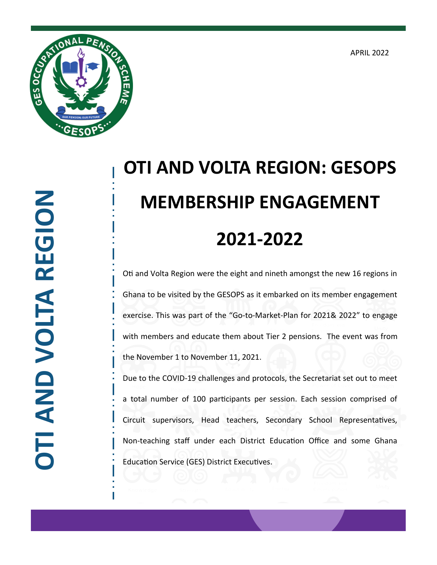APRIL 2022



## **OTI AND VOLTA REGION: GESOPS MEMBERSHIP ENGAGEMENT 2021-2022**

Oti and Volta Region were the eight and nineth amongst the new 16 regions in Ghana to be visited by the GESOPS as it embarked on its member engagement exercise. This was part of the "Go-to-Market-Plan for 2021& 2022" to engage with members and educate them about Tier 2 pensions. The event was from the November 1 to November 11, 2021.

Due to the COVID-19 challenges and protocols, the Secretariat set out to meet a total number of 100 participants per session. Each session comprised of Circuit supervisors, Head teachers, Secondary School Representatives, Non-teaching staff under each District Education Office and some Ghana Education Service (GES) District Executives.